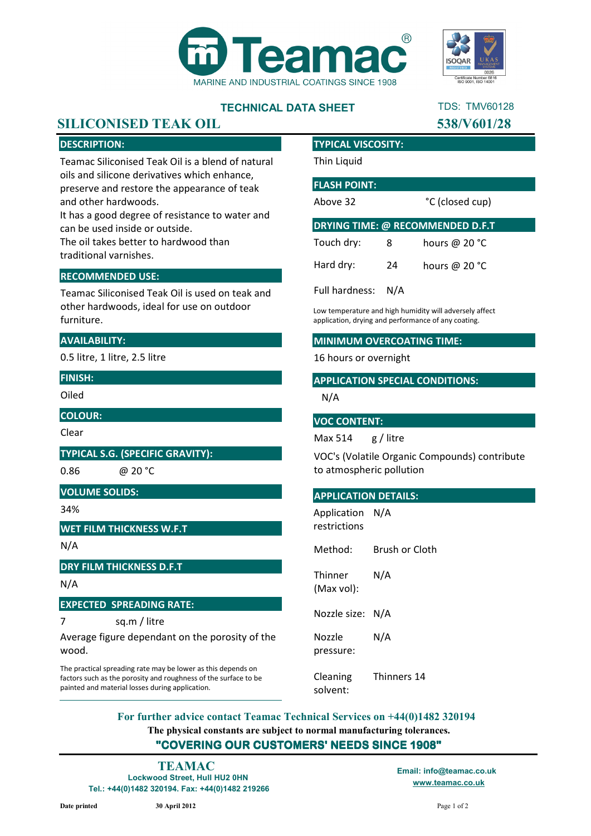



TDS: TMV60128

## **TECHNICAL DATA SHEET**

## **SILICONISED TEAK OIL 538/V601/28**

## **DESCRIPTION:**

Teamac Siliconised Teak Oil is a blend of natural oils and silicone derivatives which enhance, preserve and restore the appearance of teak and other hardwoods.

It has a good degree of resistance to water and can be used inside or outside.

The oil takes better to hardwood than traditional varnishes.

## **RECOMMENDED USE:**

Teamac Siliconised Teak Oil is used on teak and other hardwoods, ideal for use on outdoor furniture.

## **AVAILABILITY:**

0.5 litre, 1 litre, 2.5 litre

**FINISH:**

Oiled

**COLOUR:**

Clear

**TYPICAL S.G. (SPECIFIC GRAVITY):**

0.86

@ 20 °C

**VOLUME SOLIDS:**

34%

**WET FILM THICKNESS W.F.T**

N/A

**DRY FILM THICKNESS D.F.T**

N/A

**EXPECTED SPREADING RATE:**

7 sq.m / litre

Average figure dependant on the porosity of the wood.

The practical spreading rate may be lower as this depends on factors such as the porosity and roughness of the surface to be painted and material losses during application.

#### **TYPICAL VISCOSITY:**

Thin Liquid

### **FLASH POINT:**

Above 32

°C (closed cup)

| <b>DRYING TIME: @ RECOMMENDED D.F.T</b> |    |                 |
|-----------------------------------------|----|-----------------|
| Touch dry:                              | 8  | hours @ $20 °C$ |
| Hard dry:                               | 24 | hours @ $20 °C$ |
| Full hardness: N/A                      |    |                 |

Low temperature and high humidity will adversely affect application, drying and performance of any coating.

#### **MINIMUM OVERCOATING TIME:**

16 hours or overnight

### **APPLICATION SPECIAL CONDITIONS:**

N/A

#### **VOC CONTENT:**

Max 514 g / litre

VOC's (Volatile Organic Compounds) contribute to atmospheric pollution

#### **APPLICATION DETAILS:**

Application N/A restrictions

Method: Brush or Cloth

**Thinner** (Max vol): N/A

Nozzle size: N/A

Nozzle pressure: N/A

Cleaning solvent: Thinners 14

**The physical constants are subject to normal manufacturing tolerances. "COVERING OUR CUSTOMERS' NEEDS SINCE 1908" For further advice contact Teamac Technical Services on +44(0)1482 320194**

**Lockwood Street, Hull HU2 0HN Tel.: +44(0)1482 320194. Fax: +44(0)1482 219266 TEAMAC Email: info@teamac.co.uk**

**www.teamac.co.uk**